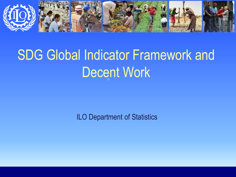

## SDG Global Indicator Framework and Decent Work

ILO Department of Statistics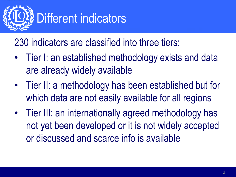

230 indicators are classified into three tiers:

- Tier I: an established methodology exists and data are already widely available
- Tier II: a methodology has been established but for which data are not easily available for all regions
- Tier III: an internationally agreed methodology has not yet been developed or it is not widely accepted or discussed and scarce info is available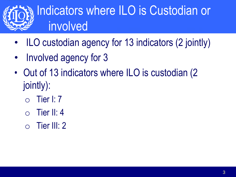

## Indicators where ILO is Custodian or involved

- ILO custodian agency for 13 indicators (2 jointly)
- Involved agency for 3
- Out of 13 indicators where ILO is custodian (2) jointly):
	- Tier I: 7
	- $\circ$  Tier II: 4
	- Tier III: 2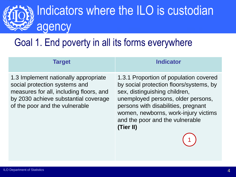### Goal 1. End poverty in all its forms everywhere

| <b>Target</b>                                                                                                                                                                              | <b>Indicator</b>                                                                                                                                                                                                                                                                        |
|--------------------------------------------------------------------------------------------------------------------------------------------------------------------------------------------|-----------------------------------------------------------------------------------------------------------------------------------------------------------------------------------------------------------------------------------------------------------------------------------------|
| 1.3 Implement nationally appropriate<br>social protection systems and<br>measures for all, including floors, and<br>by 2030 achieve substantial coverage<br>of the poor and the vulnerable | 1.3.1 Proportion of population covered<br>by social protection floors/systems, by<br>sex, distinguishing children,<br>unemployed persons, older persons,<br>persons with disabilities, pregnant<br>women, newborns, work-injury victims<br>and the poor and the vulnerable<br>(Tier II) |
|                                                                                                                                                                                            |                                                                                                                                                                                                                                                                                         |

 $(1)$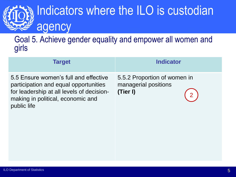Goal 5. Achieve gender equality and empower all women and girls

| <b>Target</b>                                                                                                                                                                   | <b>Indicator</b>                                                                   |
|---------------------------------------------------------------------------------------------------------------------------------------------------------------------------------|------------------------------------------------------------------------------------|
| 5.5 Ensure women's full and effective<br>participation and equal opportunities<br>for leadership at all levels of decision-<br>making in political, economic and<br>public life | 5.5.2 Proportion of women in<br>managerial positions<br>(Tier I)<br>$\overline{2}$ |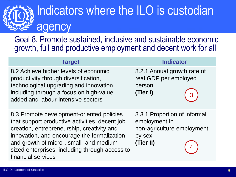

Goal 8. Promote sustained, inclusive and sustainable economic growth, full and productive employment and decent work for all

| <b>Target</b>                                                                                                                                                                                                                                                                                                | <b>Indicator</b>                                                                                    |
|--------------------------------------------------------------------------------------------------------------------------------------------------------------------------------------------------------------------------------------------------------------------------------------------------------------|-----------------------------------------------------------------------------------------------------|
| 8.2 Achieve higher levels of economic<br>productivity through diversification,<br>technological upgrading and innovation,<br>including through a focus on high-value<br>added and labour-intensive sectors                                                                                                   | 8.2.1 Annual growth rate of<br>real GDP per employed<br>person<br>(Tier I)<br>3                     |
| 8.3 Promote development-oriented policies<br>that support productive activities, decent job<br>creation, entrepreneurship, creativity and<br>innovation, and encourage the formalization<br>and growth of micro-, small- and medium-<br>sized enterprises, including through access to<br>financial services | 8.3.1 Proportion of informal<br>employment in<br>non-agriculture employment,<br>by sex<br>(Tier II) |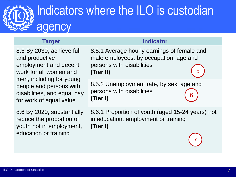

8.5 By 2030, achieve full and productive employment and decent work for all women and men, including for young people and persons with disabilities, and equal pay for work of equal value

### **Target Indicator**

8.5.1 Average hourly earnings of female and male employees, by occupation, age and persons with disabilities **(Tier II)** 5

8.5.2 Unemployment rate, by sex, age and persons with disabilities **(Tier I)** 6

8.6 By 2020, substantially reduce the proportion of youth not in employment, education or training

8.6.1 Proportion of youth (aged 15-24 years) not in education, employment or training **(Tier I)**

7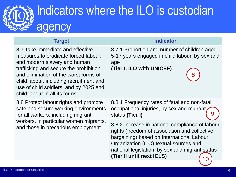

8.7 Take immediate and effective measures to eradicate forced labour, end modern slavery and human trafficking and secure the prohibition and elimination of the worst forms of child labour, including recruitment and use of child soldiers, and by 2025 end child labour in all its forms

8.8 Protect labour rights and promote safe and secure working environments for all workers, including migrant workers, in particular women migrants, and those in precarious employment

### **Target Indicator** 8.7.1 Proportion and number of children aged 5-17 years engaged in child labour, by sex and age **(Tier I, ILO with UNICEF)** 8

8.8.1 Frequency rates of fatal and non-fatal occupational injuries, by sex and migrant status **(Tier I)** 9

8.8.2 Increase in national compliance of labour rights (freedom of association and collective bargaining) based on International Labour Organization (ILO) textual sources and national legislation, by sex and migrant status **(Tier II until next ICLS)** 10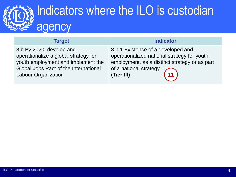



8.b By 2020, develop and operationalize a global strategy for youth employment and implement the Global Jobs Pact of the International Labour Organization

### **Target Indicator**

8.b.1 Existence of a developed and operationalized national strategy for youth employment, as a distinct strategy or as part of a national strategy **(Tier III)** 11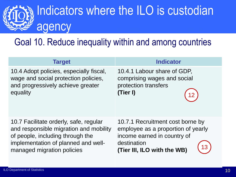### Goal 10. Reduce inequality within and among countries

| <b>Target</b>                                                                                                                                                                             | <b>Indicator</b>                                                                                                                                    |
|-------------------------------------------------------------------------------------------------------------------------------------------------------------------------------------------|-----------------------------------------------------------------------------------------------------------------------------------------------------|
| 10.4 Adopt policies, especially fiscal,<br>wage and social protection policies,<br>and progressively achieve greater<br>equality                                                          | 10.4.1 Labour share of GDP,<br>comprising wages and social<br>protection transfers<br>(Tier I)<br>ာ                                                 |
| 10.7 Facilitate orderly, safe, regular<br>and responsible migration and mobility<br>of people, including through the<br>implementation of planned and well-<br>managed migration policies | 10.7.1 Recruitment cost borne by<br>employee as a proportion of yearly<br>income earned in country of<br>destination<br>(Tier III, ILO with the WB) |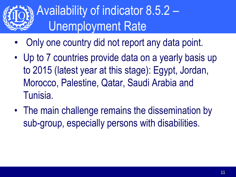

## Availability of indicator 8.5.2 – Unemployment Rate

- Only one country did not report any data point.
- Up to 7 countries provide data on a yearly basis up to 2015 (latest year at this stage): Egypt, Jordan, Morocco, Palestine, Qatar, Saudi Arabia and Tunisia.
- The main challenge remains the dissemination by sub-group, especially persons with disabilities.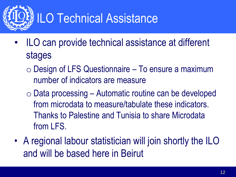

- ILO can provide technical assistance at different stages
	- o Design of LFS Questionnaire To ensure a maximum number of indicators are measure
	- $\circ$  Data processing Automatic routine can be developed from microdata to measure/tabulate these indicators. Thanks to Palestine and Tunisia to share Microdata from LFS.
- A regional labour statistician will join shortly the ILO and will be based here in Beirut